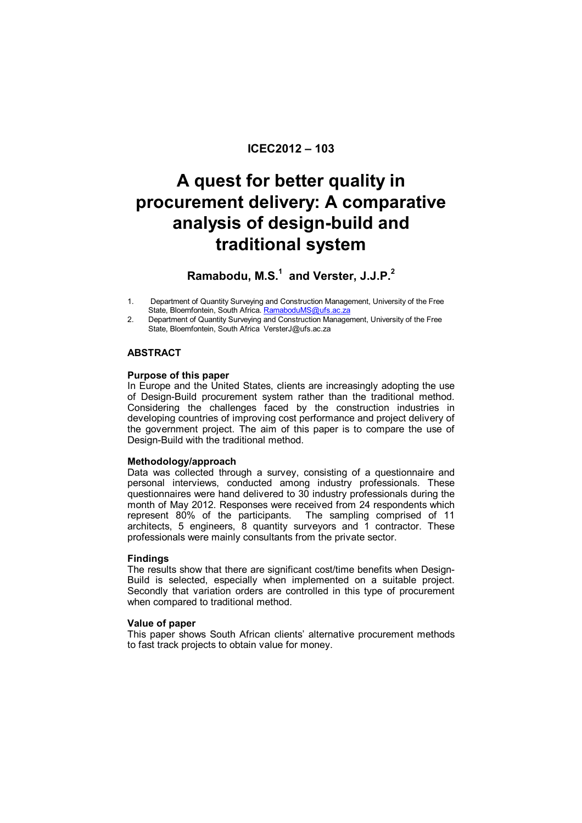# **ICEC2012 – 103**

# **A quest for better quality in procurement delivery: A comparative analysis of design-build and traditional system**

# **Ramabodu, M.S.<sup>1</sup> and Verster, J.J.P.<sup>2</sup>**

- 1. Department of Quantity Surveying and Construction Management, University of the Free State, Bloemfontein, South Africa. RamaboduMS@ufs.ac.za
- 2. Department of Quantity Surveying and Construction Management, University of the Free State, Bloemfontein, South Africa VersterJ@ufs.ac.za

#### **ABSTRACT**

#### **Purpose of this paper**

In Europe and the United States, clients are increasingly adopting the use of Design-Build procurement system rather than the traditional method. Considering the challenges faced by the construction industries in developing countries of improving cost performance and project delivery of the government project. The aim of this paper is to compare the use of Design-Build with the traditional method.

#### **Methodology/approach**

Data was collected through a survey, consisting of a questionnaire and personal interviews, conducted among industry professionals. These questionnaires were hand delivered to 30 industry professionals during the month of May 2012. Responses were received from 24 respondents which represent 80% of the participants. The sampling comprised of 11 architects, 5 engineers, 8 quantity surveyors and 1 contractor. These professionals were mainly consultants from the private sector.

#### **Findings**

The results show that there are significant cost/time benefits when Design-Build is selected, especially when implemented on a suitable project. Secondly that variation orders are controlled in this type of procurement when compared to traditional method.

#### **Value of paper**

This paper shows South African clients' alternative procurement methods to fast track projects to obtain value for money.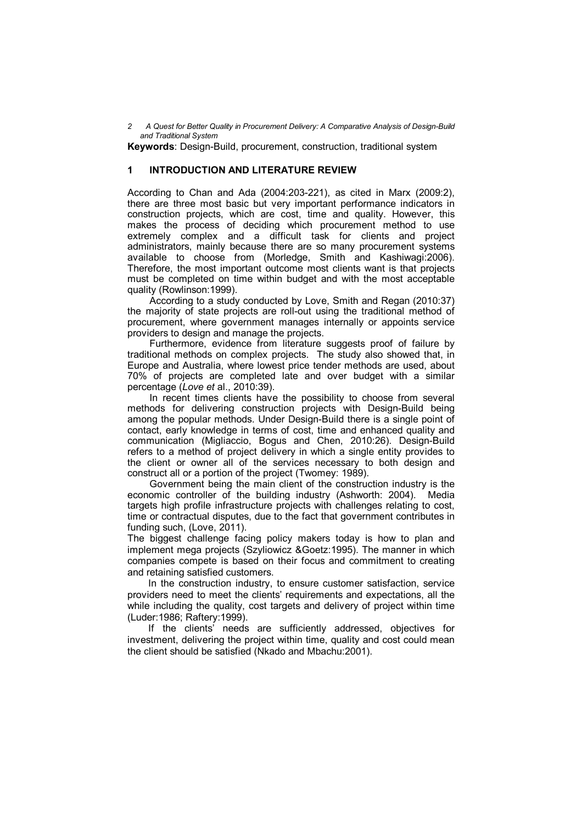**Keywords**: Design-Build, procurement, construction, traditional system

#### **1 INTRODUCTION AND LITERATURE REVIEW**

According to Chan and Ada (2004:203-221), as cited in Marx (2009:2), there are three most basic but very important performance indicators in construction projects, which are cost, time and quality. However, this makes the process of deciding which procurement method to use extremely complex and a difficult task for clients and project administrators, mainly because there are so many procurement systems available to choose from (Morledge, Smith and Kashiwagi:2006). Therefore, the most important outcome most clients want is that projects must be completed on time within budget and with the most acceptable quality (Rowlinson:1999).

According to a study conducted by Love, Smith and Regan (2010:37) the majority of state projects are roll-out using the traditional method of procurement, where government manages internally or appoints service providers to design and manage the projects.

Furthermore, evidence from literature suggests proof of failure by traditional methods on complex projects. The study also showed that, in Europe and Australia, where lowest price tender methods are used, about 70% of projects are completed late and over budget with a similar percentage (*Love et* al., 2010:39).

In recent times clients have the possibility to choose from several methods for delivering construction projects with Design-Build being among the popular methods. Under Design-Build there is a single point of contact, early knowledge in terms of cost, time and enhanced quality and communication (Migliaccio, Bogus and Chen, 2010:26). Design-Build refers to a method of project delivery in which a single entity provides to the client or owner all of the services necessary to both design and construct all or a portion of the project (Twomey: 1989).

Government being the main client of the construction industry is the economic controller of the building industry (Ashworth: 2004). Media targets high profile infrastructure projects with challenges relating to cost, time or contractual disputes, due to the fact that government contributes in funding such, (Love, 2011).

The biggest challenge facing policy makers today is how to plan and implement mega projects (Szyliowicz &Goetz:1995). The manner in which companies compete is based on their focus and commitment to creating and retaining satisfied customers.

In the construction industry, to ensure customer satisfaction, service providers need to meet the clients' requirements and expectations, all the while including the quality, cost targets and delivery of project within time (Luder:1986; Raftery:1999).

If the clients' needs are sufficiently addressed, objectives for investment, delivering the project within time, quality and cost could mean the client should be satisfied (Nkado and Mbachu:2001).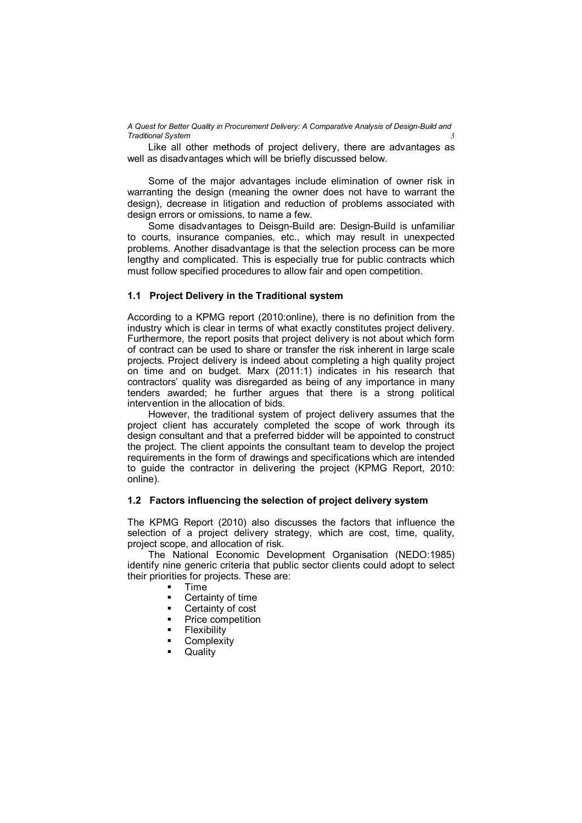Like all other methods of project delivery, there are advantages as well as disadvantages which will be briefly discussed below.

Some of the major advantages include elimination of owner risk in warranting the design (meaning the owner does not have to warrant the design), decrease in litigation and reduction of problems associated with design errors or omissions, to name a few.

Some disadvantages to Deisgn-Build are: Design-Build is unfamiliar to courts, insurance companies, etc., which may result in unexpected problems. Another disadvantage is that the selection process can be more lengthy and complicated. This is especially true for public contracts which must follow specified procedures to allow fair and open competition.

#### **1.1 Project Delivery in the Traditional system**

According to a KPMG report (2010:online), there is no definition from the industry which is clear in terms of what exactly constitutes project delivery. Furthermore, the report posits that project delivery is not about which form of contract can be used to share or transfer the risk inherent in large scale projects. Project delivery is indeed about completing a high quality project on time and on budget. Marx (2011:1) indicates in his research that contractors' quality was disregarded as being of any importance in many tenders awarded; he further argues that there is a strong political intervention in the allocation of bids.

However, the traditional system of project delivery assumes that the project client has accurately completed the scope of work through its design consultant and that a preferred bidder will be appointed to construct the project. The client appoints the consultant team to develop the project requirements in the form of drawings and specifications which are intended to guide the contractor in delivering the project (KPMG Report, 2010: online).

#### **1.2 Factors influencing the selection of project delivery system**

The KPMG Report (2010) also discusses the factors that influence the selection of a project delivery strategy, which are cost, time, quality, project scope, and allocation of risk.

The National Economic Development Organisation (NEDO:1985) identify nine generic criteria that public sector clients could adopt to select their priorities for projects. These are:

- Time
- Certainty of time
- **•** Certainty of cost
- Price competition
- Flexibility
- **Complexity**
- **Quality**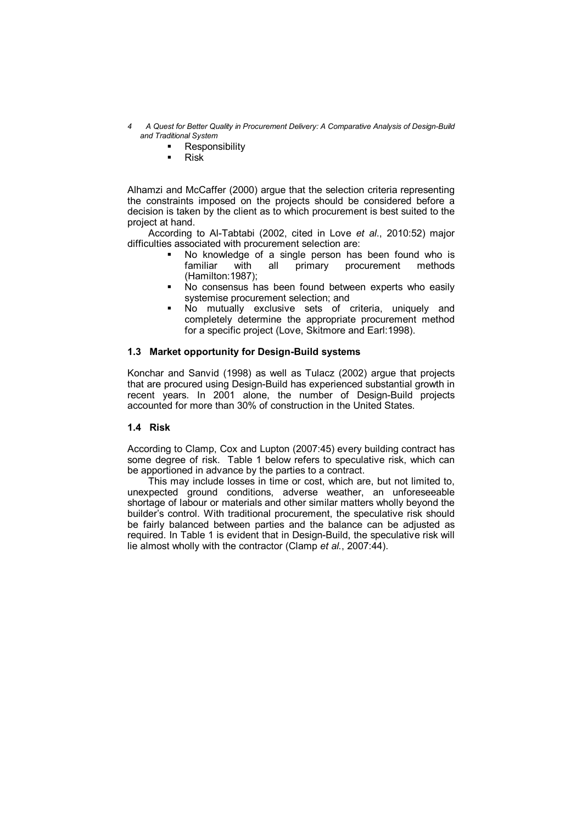- *4 A Quest for Better Quality in Procurement Delivery: A Comparative Analysis of Design-Build and Traditional System*
	- **-** Responsibility
	- $Risk$

Alhamzi and McCaffer (2000) argue that the selection criteria representing the constraints imposed on the projects should be considered before a decision is taken by the client as to which procurement is best suited to the project at hand.

According to Al-Tabtabi (2002, cited in Love *et al*., 2010:52) major difficulties associated with procurement selection are:

- No knowledge of a single person has been found who is familiar with all primary procurement methods (Hamilton:1987);
- No consensus has been found between experts who easily systemise procurement selection; and
- No mutually exclusive sets of criteria, uniquely and completely determine the appropriate procurement method for a specific project (Love, Skitmore and Earl:1998).

## **1.3 Market opportunity for Design-Build systems**

Konchar and Sanvid (1998) as well as Tulacz (2002) argue that projects that are procured using Design-Build has experienced substantial growth in recent years. In 2001 alone, the number of Design-Build projects accounted for more than 30% of construction in the United States.

#### **1.4 Risk**

According to Clamp, Cox and Lupton (2007:45) every building contract has some degree of risk. Table 1 below refers to speculative risk, which can be apportioned in advance by the parties to a contract.

This may include losses in time or cost, which are, but not limited to, unexpected ground conditions, adverse weather, an unforeseeable shortage of labour or materials and other similar matters wholly beyond the builder's control. With traditional procurement, the speculative risk should be fairly balanced between parties and the balance can be adjusted as required. In Table 1 is evident that in Design-Build, the speculative risk will lie almost wholly with the contractor (Clamp *et al.*, 2007:44).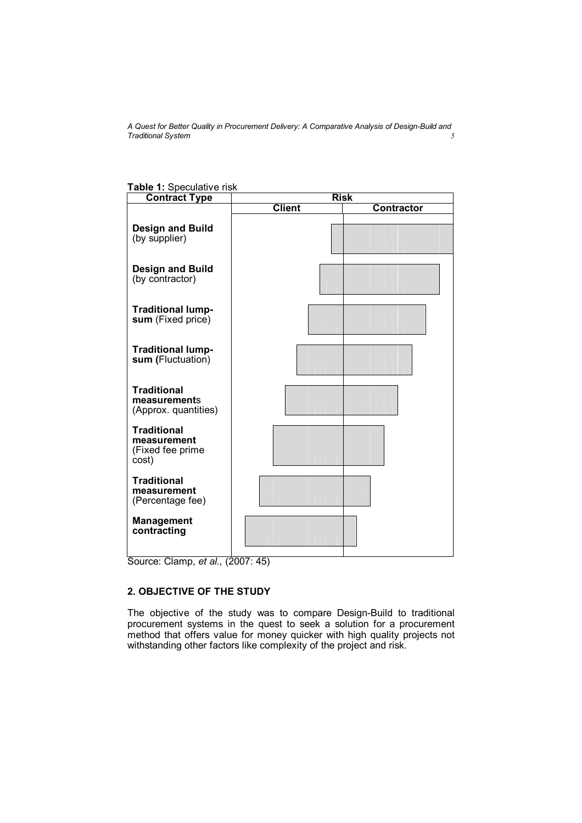| able 1: Speculative risk<br><b>Contract Type</b>               | <b>Risk</b>   |                   |  |  |  |  |
|----------------------------------------------------------------|---------------|-------------------|--|--|--|--|
|                                                                | <b>Client</b> | <b>Contractor</b> |  |  |  |  |
| <b>Design and Build</b><br>(by supplier)                       |               |                   |  |  |  |  |
| <b>Design and Build</b><br>(by contractor)                     |               |                   |  |  |  |  |
| <b>Traditional lump-</b><br>sum (Fixed price)                  |               |                   |  |  |  |  |
| <b>Traditional lump-</b><br>sum (Fluctuation)                  |               |                   |  |  |  |  |
| <b>Traditional</b><br>measurements<br>(Approx. quantities)     |               |                   |  |  |  |  |
| <b>Traditional</b><br>measurement<br>(Fixed fee prime<br>cost) |               |                   |  |  |  |  |
| <b>Traditional</b><br>measurement<br>(Percentage fee)          |               |                   |  |  |  |  |
| <b>Management</b><br>contracting                               |               |                   |  |  |  |  |

**Table 1:** Speculative risk

Source: Clamp, *et al.,* (2007: 45)

# **2. OBJECTIVE OF THE STUDY**

The objective of the study was to compare Design-Build to traditional procurement systems in the quest to seek a solution for a procurement method that offers value for money quicker with high quality projects not withstanding other factors like complexity of the project and risk.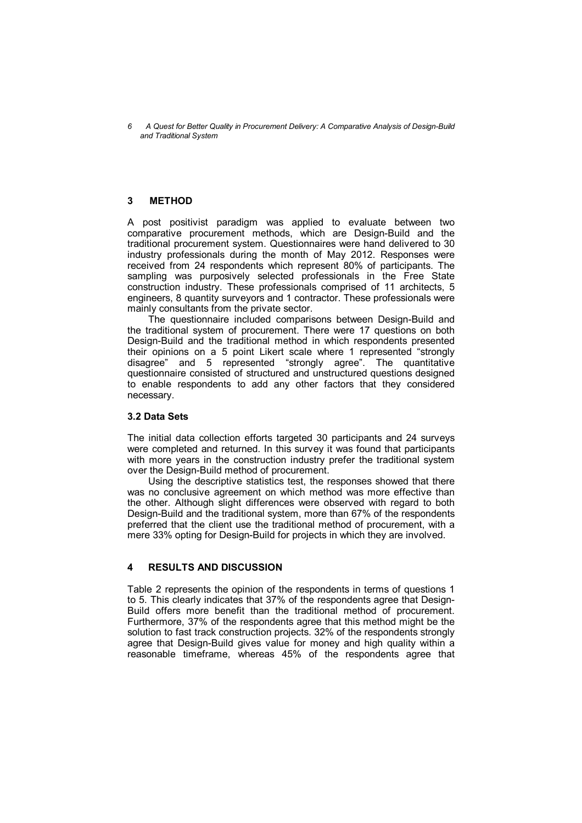## **3 METHOD**

A post positivist paradigm was applied to evaluate between two comparative procurement methods, which are Design-Build and the traditional procurement system. Questionnaires were hand delivered to 30 industry professionals during the month of May 2012. Responses were received from 24 respondents which represent 80% of participants. The sampling was purposively selected professionals in the Free State construction industry. These professionals comprised of 11 architects, 5 engineers, 8 quantity surveyors and 1 contractor. These professionals were mainly consultants from the private sector.

The questionnaire included comparisons between Design-Build and the traditional system of procurement. There were 17 questions on both Design-Build and the traditional method in which respondents presented their opinions on a 5 point Likert scale where 1 represented "strongly disagree" and 5 represented "strongly agree". The quantitative questionnaire consisted of structured and unstructured questions designed to enable respondents to add any other factors that they considered necessary.

#### **3.2 Data Sets**

The initial data collection efforts targeted 30 participants and 24 surveys were completed and returned. In this survey it was found that participants with more years in the construction industry prefer the traditional system over the Design-Build method of procurement.

Using the descriptive statistics test, the responses showed that there was no conclusive agreement on which method was more effective than the other. Although slight differences were observed with regard to both Design-Build and the traditional system, more than 67% of the respondents preferred that the client use the traditional method of procurement, with a mere 33% opting for Design-Build for projects in which they are involved.

# **4 RESULTS AND DISCUSSION**

Table 2 represents the opinion of the respondents in terms of questions 1 to 5. This clearly indicates that 37% of the respondents agree that Design-Build offers more benefit than the traditional method of procurement. Furthermore, 37% of the respondents agree that this method might be the solution to fast track construction projects. 32% of the respondents strongly agree that Design-Build gives value for money and high quality within a reasonable timeframe, whereas 45% of the respondents agree that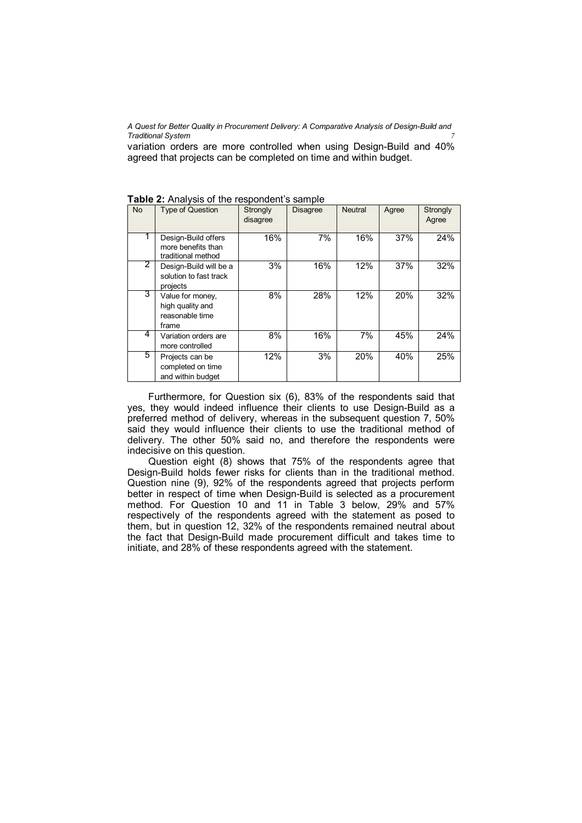variation orders are more controlled when using Design-Build and 40% agreed that projects can be completed on time and within budget.

| <b>No</b> | <b>Type of Question</b>                                          | Strongly<br>disagree | <b>Disagree</b> | Neutral | Agree | Strongly<br>Agree |
|-----------|------------------------------------------------------------------|----------------------|-----------------|---------|-------|-------------------|
|           | Design-Build offers<br>more benefits than<br>traditional method  | 16%                  | 7%              | 16%     | 37%   | 24%               |
| 2         | Design-Build will be a<br>solution to fast track<br>projects     | 3%                   | 16%             | 12%     | 37%   | 32%               |
| 3         | Value for money,<br>high quality and<br>reasonable time<br>frame | 8%                   | 28%             | 12%     | 20%   | 32%               |
| 4         | Variation orders are<br>more controlled                          | 8%                   | 16%             | 7%      | 45%   | 24%               |
| 5.        | Projects can be<br>completed on time<br>and within budget        | 12%                  | 3%              | 20%     | 40%   | 25%               |

**Table 2:** Analysis of the respondent's sample

Furthermore, for Question six (6), 83% of the respondents said that yes, they would indeed influence their clients to use Design-Build as a preferred method of delivery, whereas in the subsequent question 7, 50% said they would influence their clients to use the traditional method of delivery. The other 50% said no, and therefore the respondents were indecisive on this question.

Question eight (8) shows that 75% of the respondents agree that Design-Build holds fewer risks for clients than in the traditional method. Question nine (9), 92% of the respondents agreed that projects perform better in respect of time when Design-Build is selected as a procurement method. For Question 10 and 11 in Table 3 below, 29% and 57% respectively of the respondents agreed with the statement as posed to them, but in question 12, 32% of the respondents remained neutral about the fact that Design-Build made procurement difficult and takes time to initiate, and 28% of these respondents agreed with the statement.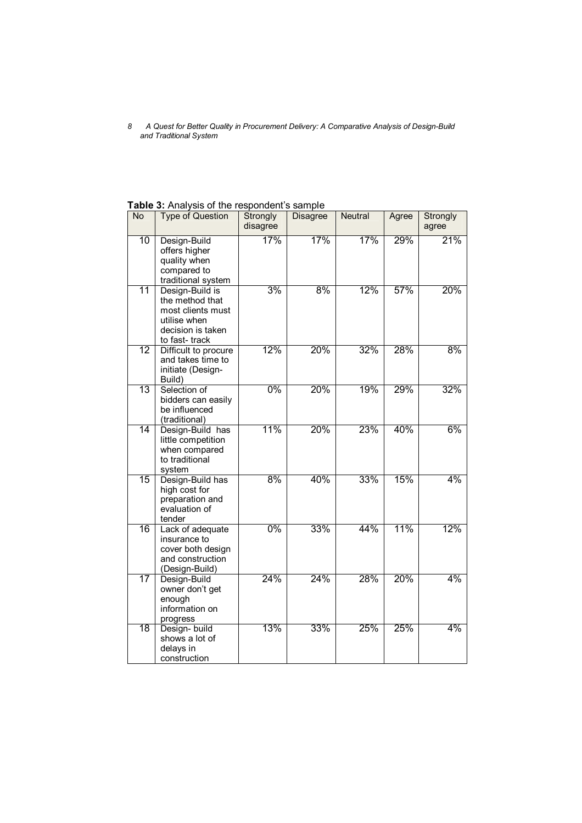**Table 3:** Analysis of the respondent's sample

| <b>No</b>       | <b>Type of Question</b>                                                                                       | Strongly<br>disagree | <b>Disagree</b> | <b>Neutral</b> | Agree | Strongly<br>agree |
|-----------------|---------------------------------------------------------------------------------------------------------------|----------------------|-----------------|----------------|-------|-------------------|
| 10              | Design-Build<br>offers higher<br>quality when<br>compared to<br>traditional system                            | 17%                  | 17%             | 17%            | 29%   | 21%               |
| 11              | Design-Build is<br>the method that<br>most clients must<br>utilise when<br>decision is taken<br>to fast-track | 3%                   | 8%              | 12%            | 57%   | 20%               |
| $\overline{12}$ | Difficult to procure<br>and takes time to<br>initiate (Design-<br>Build)                                      | 12%                  | 20%             | 32%            | 28%   | 8%                |
| $\overline{13}$ | Selection of<br>bidders can easily<br>be influenced<br>(traditional)                                          | $0\%$                | 20%             | 19%            | 29%   | 32%               |
| 14              | Design-Build has<br>little competition<br>when compared<br>to traditional<br>system                           | 11%                  | 20%             | 23%            | 40%   | 6%                |
| $\overline{15}$ | Design-Build has<br>high cost for<br>preparation and<br>evaluation of<br>tender                               | 8%                   | 40%             | 33%            | 15%   | 4%                |
| 16              | Lack of adequate<br>insurance to<br>cover both design<br>and construction<br>(Design-Build)                   | 0%                   | 33%             | 44%            | 11%   | 12%               |
| 17              | Design-Build<br>owner don't get<br>enough<br>information on<br>progress                                       | 24%                  | 24%             | 28%            | 20%   | $4\%$             |
| $\overline{18}$ | Design- build<br>shows a lot of<br>delays in<br>construction                                                  | 13%                  | 33%             | 25%            | 25%   | 4%                |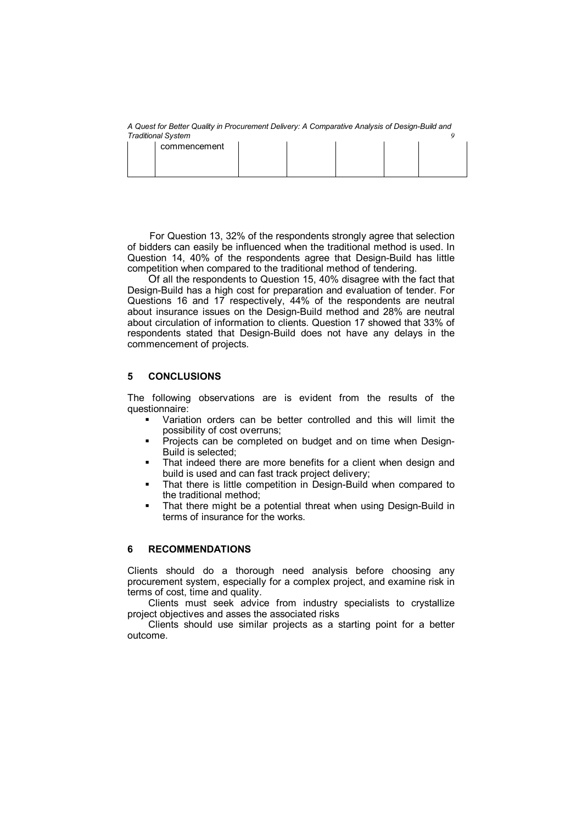|  | commencement |  |  |  |  |  |
|--|--------------|--|--|--|--|--|
|  |              |  |  |  |  |  |

For Question 13, 32% of the respondents strongly agree that selection of bidders can easily be influenced when the traditional method is used. In Question 14, 40% of the respondents agree that Design-Build has little competition when compared to the traditional method of tendering.

Of all the respondents to Question 15, 40% disagree with the fact that Design-Build has a high cost for preparation and evaluation of tender. For Questions 16 and 17 respectively, 44% of the respondents are neutral about insurance issues on the Design-Build method and 28% are neutral about circulation of information to clients. Question 17 showed that 33% of respondents stated that Design-Build does not have any delays in the commencement of projects.

## **5 CONCLUSIONS**

The following observations are is evident from the results of the questionnaire:

- Variation orders can be better controlled and this will limit the possibility of cost overruns;
- **Projects can be completed on budget and on time when Design-**Build is selected;
- That indeed there are more benefits for a client when design and build is used and can fast track project delivery;
- **That there is little competition in Design-Build when compared to** the traditional method;
- **That there might be a potential threat when using Design-Build in** terms of insurance for the works.

#### **6 RECOMMENDATIONS**

Clients should do a thorough need analysis before choosing any procurement system, especially for a complex project, and examine risk in terms of cost, time and quality.

Clients must seek advice from industry specialists to crystallize project objectives and asses the associated risks

Clients should use similar projects as a starting point for a better outcome.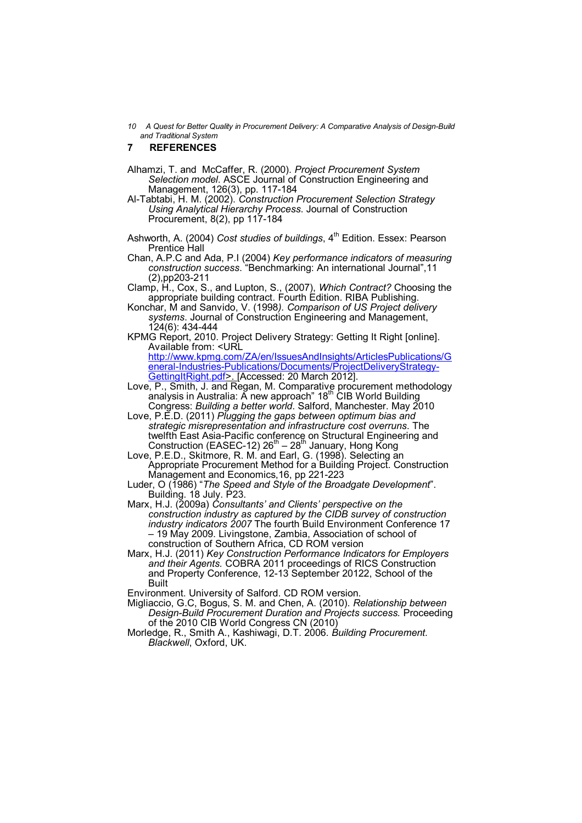#### **7 REFERENCES**

- Alhamzi, T. and McCaffer, R. (2000). *Project Procurement System Selection model*. ASCE Journal of Construction Engineering and Management, 126(3), pp. 117-184
- Al-Tabtabi, H. M. (2002). *Construction Procurement Selection Strategy Using Analytical Hierarchy Process*. Journal of Construction Procurement, 8(2), pp 117-184
- Ashworth, A. (2004) *Cost studies of buildings*, 4<sup>th</sup> Edition. Essex: Pearson Prentice Hall
- Chan, A.P.C and Ada, P.I (2004) *Key performance indicators of measuring construction success*. "Benchmarking: An international Journal",11 (2),pp203-211
- Clamp, H., Cox, S., and Lupton, S., (2007), *Which Contract?* Choosing the appropriate building contract. Fourth Edition. RIBA Publishing.
- Konchar, M and Sanvido, V. (1998*). Comparison of US Project delivery systems*. Journal of Construction Engineering and Management, 124(6): 434-444
- KPMG Report, 2010. Project Delivery Strategy: Getting It Right [online]. Available from: <URL

http://www.kpmg.com/ZA/en/IssuesAndInsights/ArticlesPublications/G eneral-Industries-Publications/Documents/ProjectDeliveryStrategy-GettingItRight.pdf>. [Accessed: 20 March 2012].

- Love, P., Smith, J. and Regan, M. Comparative procurement methodology analysis in Australia: A new approach" 18th CIB World Building Congress: *Building a better world*. Salford, Manchester. May 2010
- Love, P.E.D. (2011) *Plugging the gaps between optimum bias and strategic misrepresentation and infrastructure cost overruns*. The twelfth East Asia-Pacific conference on Structural Engineering and<br>Construction (EASEC-12) 26<sup>th</sup> – 28<sup>th</sup> January, Hong Kong
- Love, P.E.D., Skitmore, R. M. and Earl, G. (1998). Selecting an Appropriate Procurement Method for a Building Project. Construction Management and Economics,16, pp 221-223
- Luder, O (1986) "*The Speed and Style of the Broadgate Development*". Building. 18 July. P23.
- Marx, H.J. (2009a) *Consultants' and Clients' perspective on the construction industry as captured by the CIDB survey of construction industry indicators 2007* The fourth Build Environment Conference 17 – 19 May 2009. Livingstone, Zambia, Association of school of construction of Southern Africa, CD ROM version
- Marx, H.J. (2011) *Key Construction Performance Indicators for Employers and their Agents.* COBRA 2011 proceedings of RICS Construction and Property Conference, 12-13 September 20122, School of the Built

Environment. University of Salford. CD ROM version.

- Migliaccio, G.C, Bogus, S. M. and Chen, A. (2010). *Relationship between Design-Build Procurement Duration and Projects success.* Proceeding of the 2010 CIB World Congress CN (2010)
- Morledge, R., Smith A., Kashiwagi, D.T. 2006. *Building Procurement. Blackwell*, Oxford, UK.